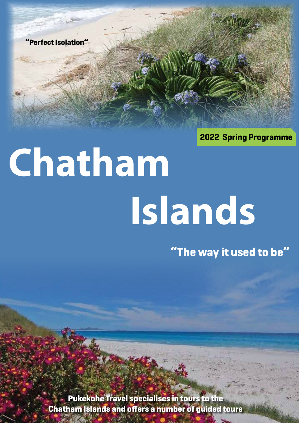**"Perfect Isolation"**

**2022 Spring Programme**

# **Chatham Islands**

**"The way it used to be"**

**Pukekohe Travel specialises in tours to the Chatham Islands and offers a number of guided tours**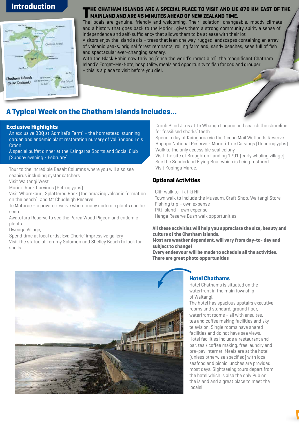# **Introduction**



#### **THE CHATHAM ISLANDS ARE A SPECIAL PLACE TO VISIT AND LIE 870 KM EAST OF THE MAINLAND AND ARE 45 MINUTES AHEAD OF NEW ZEALAND TIME.**

The locals are genuine, friendly and welcoming. Their isolation; changeable, moody climate; and a history that goes back to the Moriori, gives them a strong community spirit, a sense of independence and self-sufficiency that allows them to be at ease with their lot. Visitors enjoy the island as is – trees that lean one way, rugged landscapes containing an array of volcanic peaks, original forest remnants, rolling farmland, sandy beaches, seas full of fish

and spectacular ever-changing scenery. With the Black Robin now thriving (once the world's rarest bird), the magnificent Chatham Island's Forget-Me-Nots, hospitality, meals and opportunity to fish for cod and grouper – this is a place to visit before you die!.

# **A Typical Week on the Chatham Islands includes...**

#### **Exclusive Highlights**

- An exclusive BBQ at 'Admiral's Farm' the homestead, stunning garden and endemic plant restoration nursery of Val Snr and Lois Croon
- A special buffet dinner at the Kaingaroa Sports and Social Club (Sunday evening - February)
- Tour to the incredible Basalt Columns where you will also see seabirds including oyster catchers
- Visit Waitangi West
- Moriori Rock Carvings (Petroglyphs)
- Visit Wharekauri, Splattered Rock (the amazing volcanic formation on the beach) and Mt Chudleigh Reserve
- Te Matarae a private reserve where many endemic plants can be seen.
- Awatotara Reserve to see the Parea Wood Pigeon and endemic plants
- Owenga Village,
- Spend time at local artist Eva Cherie' impressive gallery
- Visit the statue of Tommy Solomon and Shelley Beach to look for shells
- Comb Blind Jims at Te Whanga Lagoon and search the shoreline for fossilised sharks' teeth
- Spend a day at Kaingaroa via the Ocean Mail Wetlands Reserve
- Hapupu National Reserve Moriori Tree Carvings (Dendroglyphs) • Walk to the only accessible seal colony,
- Visit the site of Broughton Landing 1791 (early whaling village)
- See the Sunderland Flying Boat which is being restored.
- Visit Kopinga Marae.

# **Optional Activities**

- Cliff walk to Tikitiki Hill.
- Town walk to include the Museum, Craft Shop, Waitangi Store
- Fishing trip own expense
- Pitt Island own expense
- Henga Reserve Bush walk opportunities.

#### **All these activities will help you appreciate the size, beauty and culture of the Chatham Islands.**

#### **Most are weather dependent, will vary from day-to- day and subject to change!**

**Every endeavour will be made to schedule all the activities. There are great photo opportunities**



## **Hotel Chathams**

Hotel Chathams is situated on the waterfront in the main township of Waitangi.

The hotel has spacious upstairs executive rooms and standard, ground floor, waterfront rooms - all with ensuites, tea and coffee making facilities and sky television. Single rooms have shared facilities and do not have sea views. Hotel facilities include a restaurant and bar, tea / coffee making, free laundry and pre-pay internet. Meals are at the hotel (unless otherwise specified) with local seafood and picnic lunches are provided most days. Sightseeing tours depart from the hotel which is also the only Pub on the island and a great place to meet the locals!

**Highlight<sup>s</sup>**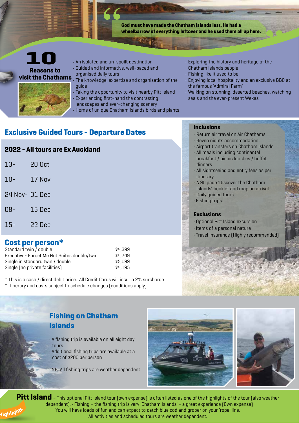

• Home of unique Chatham Islands birds and plants

# **Exclusive Guided Tours - Departure Dates**

# **2022 - All tours are Ex Auckland**

| $13 -$ | 20 Oct |
|--------|--------|
| $10-$  | 17 Nov |

- 24 Nov- 01 Dec
- 08- 15 Dec
- 
- 15- 22 Dec

# **Cost per person\***

| Standard twin / double                      | \$4.399 |
|---------------------------------------------|---------|
| Executive- Forget Me Not Suites double/twin | \$4.749 |
| Single in standard twin / double            | \$5.099 |
| Single (no private facilities)              | \$4.195 |

\* This is a cash / direct debit price. All Credit Cards will incur a 2% surcharge

\* Itinerary and costs subject to schedule changes (conditions apply)

# **Inclusions**

- Return air travel on Air Chathams
- Seven nights accommodation
- Airport transfers on Chatham Islands
- All meals including continental breakfast / picnic lunches / buffet dinners
- All sightseeing and entry fees as per itinerary
- A 90 page 'Discover the Chatham Islands' booklet and map on arrival
- Daily guided tours
- Fishing trips

## **Exclusions**

- Optional Pitt Island excursion
- Items of a personal nature
- Travel Insurance (Highly recommended)

# **Fishing on Chatham Islands**

- A fishing trip is available on all eight day tours
- Additional fishing trips are available at a cost of \$200 per person
- NB: All fishing trips are weather dependent





**Pitt Island** – This optional Pitt Island tour (own expense) is often listed as one of the highlights of the tour (also weather dependent). • Fishing – the fishing trip is very 'Chatham Islands' - a great experience (Own expense) You will have loads of fun and can expect to catch blue cod and groper on your 'rope' line. All activities and scheduled tours are weather dependent. **Highlight<sup>s</sup>**